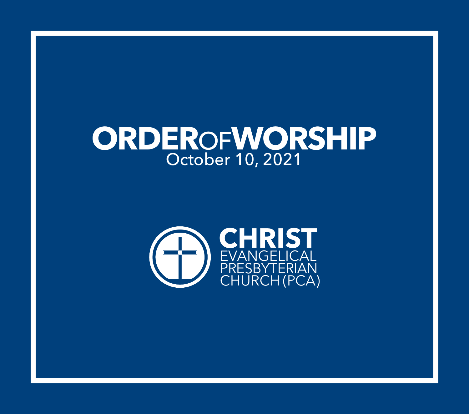# **ORDER**OF**WORSHIP** October 10, 2021

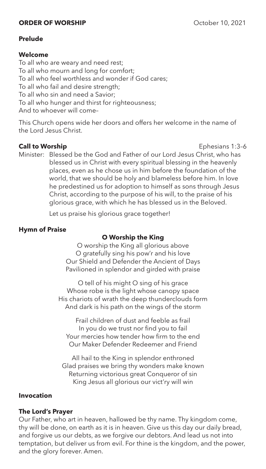## **ORDER OF WORSHIP** October 10, 2021

# **Prelude**

#### **Welcome**

To all who are weary and need rest; To all who mourn and long for comfort; To all who feel worthless and wonder if God cares; To all who fail and desire strength; To all who sin and need a Savior; To all who hunger and thirst for righteousness; And to whoever will come–

This Church opens wide her doors and offers her welcome in the name of the Lord Jesus Christ.

#### **Call to Worship** Ephesians 1:3-6

Minister: Blessed be the God and Father of our Lord Jesus Christ, who has blessed us in Christ with every spiritual blessing in the heavenly places, even as he chose us in him before the foundation of the world, that we should be holy and blameless before him. In love he predestined us for adoption to himself as sons through Jesus Christ, according to the purpose of his will, to the praise of his glorious grace, with which he has blessed us in the Beloved.

Let us praise his glorious grace together!

## **Hymn of Praise**

#### **O Worship the King**

O worship the King all glorious above O gratefully sing his pow'r and his love Our Shield and Defender the Ancient of Days Pavilioned in splendor and girded with praise

O tell of his might O sing of his grace Whose robe is the light whose canopy space His chariots of wrath the deep thunderclouds form And dark is his path on the wings of the storm

Frail children of dust and feeble as frail In you do we trust nor find you to fail Your mercies how tender how firm to the end Our Maker Defender Redeemer and Friend

All hail to the King in splendor enthroned Glad praises we bring thy wonders make known Returning victorious great Conqueror of sin King Jesus all glorious our vict'ry will win

#### **Invocation**

#### **The Lord's Prayer**

Our Father, who art in heaven, hallowed be thy name. Thy kingdom come, thy will be done, on earth as it is in heaven. Give us this day our daily bread, and forgive us our debts, as we forgive our debtors. And lead us not into temptation, but deliver us from evil. For thine is the kingdom, and the power, and the glory forever. Amen.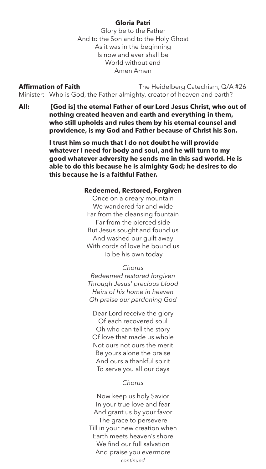#### **Gloria Patri**

Glory be to the Father And to the Son and to the Holy Ghost As it was in the beginning Is now and ever shall be World without end Amen Amen

**Affirmation of Faith The Heidelberg Catechism, Q/A #26** Minister: Who is God, the Father almighty, creator of heaven and earth?

**All: [God is] the eternal Father of our Lord Jesus Christ, who out of nothing created heaven and earth and everything in them, who still upholds and rules them by his eternal counsel and providence, is my God and Father because of Christ his Son.**

> **I trust him so much that I do not doubt he will provide whatever I need for body and soul, and he will turn to my good whatever adversity he sends me in this sad world. He is able to do this because he is almighty God; he desires to do this because he is a faithful Father.**

#### **Redeemed, Restored, Forgiven**

Once on a dreary mountain We wandered far and wide Far from the cleansing fountain Far from the pierced side But Jesus sought and found us And washed our guilt away With cords of love he bound us To be his own today

#### *Chorus*

*Redeemed restored forgiven Through Jesus' precious blood Heirs of his home in heaven Oh praise our pardoning God*

Dear Lord receive the glory Of each recovered soul Oh who can tell the story Of love that made us whole Not ours not ours the merit Be yours alone the praise And ours a thankful spirit To serve you all our days

#### *Chorus*

Now keep us holy Savior In your true love and fear And grant us by your favor The grace to persevere Till in your new creation when Earth meets heaven's shore We find our full salvation And praise you evermore *continued*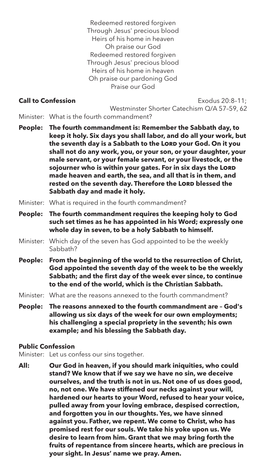Redeemed restored forgiven Through Jesus' precious blood Heirs of his home in heaven Oh praise our God Redeemed restored forgiven Through Jesus' precious blood Heirs of his home in heaven Oh praise our pardoning God Praise our God

**Call to Confession Call to Confession Exodus 20:8-11;** Westminster Shorter Catechism Q/A 57–59, 62

Minister: What is the fourth commandment?

- **People: The fourth commandment is: Remember the Sabbath day, to keep it holy. Six days you shall labor, and do all your work, but**  the seventh day is a Sabbath to the LORD your God. On it you **shall not do any work, you, or your son, or your daughter, your male servant, or your female servant, or your livestock, or the sojourner who is within your gates. For in six days the L made heaven and earth, the sea, and all that is in them, and**  rested on the seventh day. Therefore the LORD blessed the **Sabbath day and made it holy.**
- Minister: What is required in the fourth commandment?
- **People: The fourth commandment requires the keeping holy to God such set times as he has appointed in his Word; expressly one whole day in seven, to be a holy Sabbath to himself.**
- Minister: Which day of the seven has God appointed to be the weekly Sabbath?
- **People: From the beginning of the world to the resurrection of Christ, God appointed the seventh day of the week to be the weekly Sabbath; and the first day of the week ever since, to continue to the end of the world, which is the Christian Sabbath.**
- Minister: What are the reasons annexed to the fourth commandment?
- **People: The reasons annexed to the fourth commandment are God's allowing us six days of the week for our own employments; his challenging a special propriety in the seventh; his own example; and his blessing the Sabbath day.**

#### **Public Confession**

- Minister: Let us confess our sins together.
- **All: Our God in heaven, if you should mark iniquities, who could stand? We know that if we say we have no sin, we deceive ourselves, and the truth is not in us. Not one of us does good, no, not one. We have stiffened our necks against your will, hardened our hearts to your Word, refused to hear your voice, pulled away from your loving embrace, despised correction, and forgotten you in our thoughts. Yes, we have sinned against you. Father, we repent. We come to Christ, who has promised rest for our souls. We take his yoke upon us. We desire to learn from him. Grant that we may bring forth the fruits of repentance from sincere hearts, which are precious in your sight. In Jesus' name we pray. Amen.**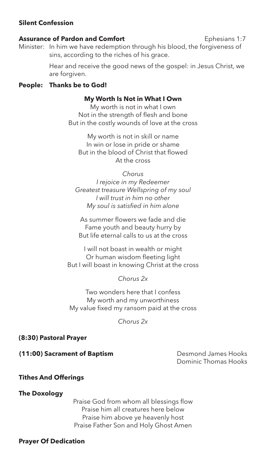# **Silent Confession**

#### **Assurance of Pardon and Comfort Example 2: Assurance of Pardon and Comfort**

Minister: In him we have redemption through his blood, the forgiveness of sins, according to the riches of his grace.

> Hear and receive the good news of the gospel: in Jesus Christ, we are forgiven.

## **People: Thanks be to God!**

## **My Worth Is Not in What I Own**

My worth is not in what I own Not in the strength of flesh and bone But in the costly wounds of love at the cross

My worth is not in skill or name In win or lose in pride or shame But in the blood of Christ that flowed At the cross

*Chorus*

*I rejoice in my Redeemer Greatest treasure Wellspring of my soul I will trust in him no other My soul is satisfied in him alone*

As summer flowers we fade and die Fame youth and beauty hurry by But life eternal calls to us at the cross

I will not boast in wealth or might Or human wisdom fleeting light But I will boast in knowing Christ at the cross

*Chorus 2x*

Two wonders here that I confess My worth and my unworthiness My value fixed my ransom paid at the cross

*Chorus 2x*

# **(8:30) Pastoral Prayer**

**(11:00) Sacrament of Baptism**  Desmond James Hooks

Dominic Thomas Hooks

# **Tithes And Offerings**

#### **The Doxology**

Praise God from whom all blessings flow Praise him all creatures here below Praise him above ye heavenly host Praise Father Son and Holy Ghost Amen

#### **Prayer Of Dedication**